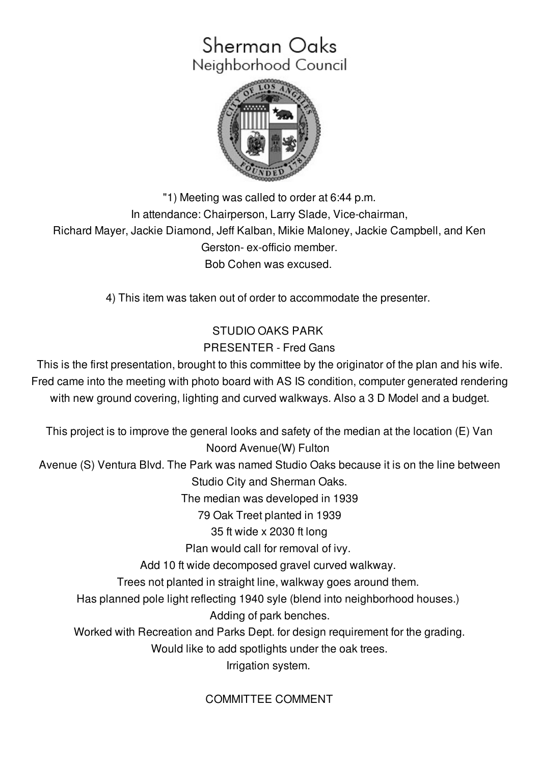# Sherman Oaks Neighborhood Council



"1) Meeting was called to order at 6:44 p.m. In attendance: Chairperson, Larry Slade, Vice-chairman, Richard Mayer, Jackie Diamond, Jeff Kalban, Mikie Maloney, Jackie Campbell, and Ken Gerston- ex-officio member. Bob Cohen was excused.

4) This item was taken out of order to accommodate the presenter.

# STUDIO OAKS PARK PRESENTER - Fred Gans

This is the first presentation, brought to this committee by the originator of the plan and his wife. Fred came into the meeting with photo board with AS IS condition, computer generated rendering with new ground covering, lighting and curved walkways. Also a 3 D Model and a budget.

This project is to improve the general looks and safety of the median at the location (E) Van Noord Avenue(W) Fulton Avenue (S) Ventura Blvd. The Park was named Studio Oaks because it is on the line between Studio City and Sherman Oaks. The median was developed in 1939 79 Oak Treet planted in 1939 35 ft wide x 2030 ft long Plan would call for removal of ivy. Add 10 ft wide decomposed gravel curved walkway. Trees not planted in straight line, walkway goes around them. Has planned pole light reflecting 1940 syle (blend into neighborhood houses.) Adding of park benches. Worked with Recreation and Parks Dept. for design requirement for the grading. Would like to add spotlights under the oak trees. Irrigation system.

# COMMITTEE COMMENT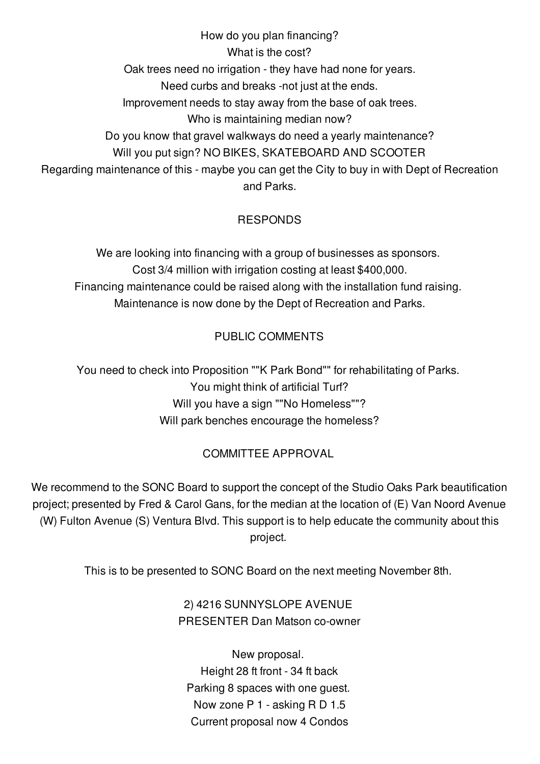How do you plan financing? What is the cost? Oak trees need no irrigation - they have had none for years. Need curbs and breaks -not just at the ends. Improvement needs to stay away from the base of oak trees. Who is maintaining median now? Do you know that gravel walkways do need a yearly maintenance? Will you put sign? NO BIKES, SKATEBOARD AND SCOOTER Regarding maintenance of this - maybe you can get the City to buy in with Dept of Recreation and Parks.

## RESPONDS

We are looking into financing with a group of businesses as sponsors. Cost 3/4 million with irrigation costing at least \$400,000. Financing maintenance could be raised along with the installation fund raising. Maintenance is now done by the Dept of Recreation and Parks.

## PUBLIC COMMENTS

You need to check into Proposition ""K Park Bond"" for rehabilitating of Parks. You might think of artificial Turf? Will you have a sign ""No Homeless""? Will park benches encourage the homeless?

## COMMITTEE APPROVAL

We recommend to the SONC Board to support the concept of the Studio Oaks Park beautification project; presented by Fred & Carol Gans, for the median at the location of (E) Van Noord Avenue (W) Fulton Avenue (S) Ventura Blvd. This support is to help educate the community about this project.

This is to be presented to SONC Board on the next meeting November 8th.

# 2) 4216 SUNNYSLOPE AVENUE PRESENTER Dan Matson co-owner

New proposal. Height 28 ft front - 34 ft back Parking 8 spaces with one guest. Now zone P 1 - asking R D 1.5 Current proposal now 4 Condos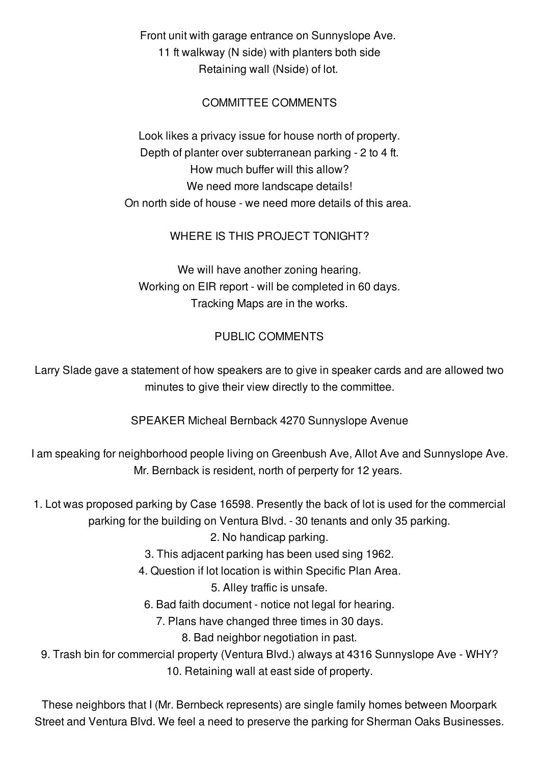Front unit with garage entrance on Sunnyslope Ave. 11 ft walkway (N side) with planters both side Retaining wall (Nside) of lot.

#### COMMITTEE COMMENTS

Look likes a privacy issue for house north of property. Depth of planter over subterranean parking - 2 to 4 ft. How much buffer will this allow? We need more landscape details! On north side of house - we need more details of this area.

#### WHERE IS THIS PROJECT TONIGHT?

We will have another zoning hearing. Working on EIR report - will be completed in 60 days. Tracking Maps are in the works.

#### PUBLIC COMMENTS

Larry Slade gave a statement of how speakers are to give in speaker cards and are allowed two minutes to give their view directly to the committee.

SPEAKER Micheal Bernback 4270 Sunnyslope Avenue

I am speaking for neighborhood people living on Greenbush Ave, Allot Ave and Sunnyslope Ave. Mr. Bernback is resident, north of perperty for 12 years.

1. Lot was proposed parking by Case 16598. Presently the back of lot is used for the commercial parking for the building on Ventura Blvd. - 30 tenants and only 35 parking.

2. No handicap parking.

- 3. This adjacent parking has been used sing 1962.
- 4. Question if lot location is within Specific Plan Area.

5. Alley traffic is unsafe.

6. Bad faith document - notice not legal for hearing.

7. Plans have changed three times in 30 days.

8. Bad neighbor negotiation in past.

9. Trash bin for commercial property (Ventura Blvd.) always at 4316 Sunnyslope Ave - WHY? 10. Retaining wall at east side of property.

These neighbors that I (Mr. Bernbeck represents) are single family homes between Moorpark Street and Ventura Blvd. We feel a need to preserve the parking for Sherman Oaks Businesses.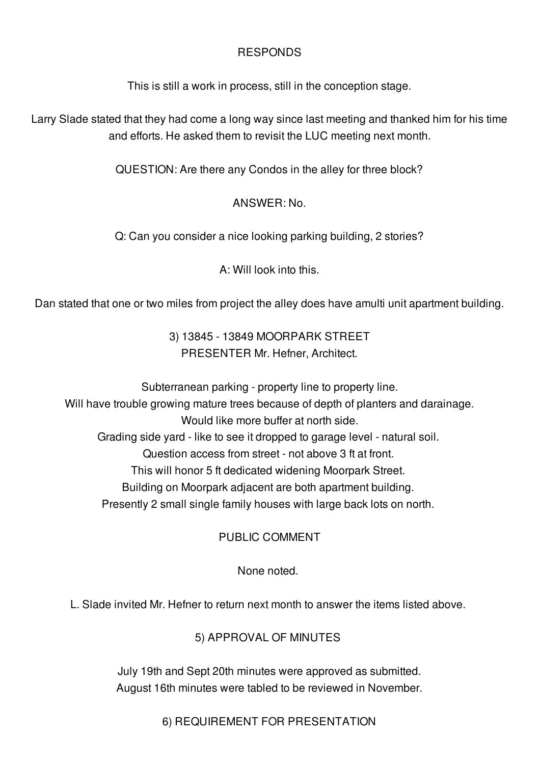#### RESPONDS

This is still a work in process, still in the conception stage.

Larry Slade stated that they had come a long way since last meeting and thanked him for his time and efforts. He asked them to revisit the LUC meeting next month.

QUESTION: Are there any Condos in the alley for three block?

## ANSWER: No.

Q: Can you consider a nice looking parking building, 2 stories?

A: Will look into this.

Dan stated that one or two miles from project the alley does have amulti unit apartment building.

3) 13845 - 13849 MOORPARK STREET PRESENTER Mr. Hefner, Architect.

Subterranean parking - property line to property line. Will have trouble growing mature trees because of depth of planters and darainage. Would like more buffer at north side. Grading side yard - like to see it dropped to garage level - natural soil. Question access from street - not above 3 ft at front. This will honor 5 ft dedicated widening Moorpark Street. Building on Moorpark adjacent are both apartment building. Presently 2 small single family houses with large back lots on north.

# PUBLIC COMMENT

None noted.

L. Slade invited Mr. Hefner to return next month to answer the items listed above.

# 5) APPROVAL OF MINUTES

July 19th and Sept 20th minutes were approved as submitted. August 16th minutes were tabled to be reviewed in November.

6) REQUIREMENT FOR PRESENTATION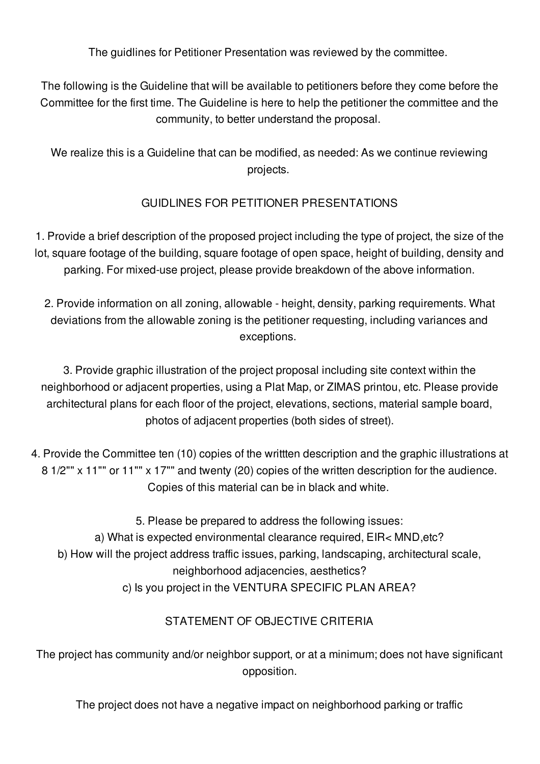The guidlines for Petitioner Presentation was reviewed by the committee.

The following is the Guideline that will be available to petitioners before they come before the Committee for the first time. The Guideline is here to help the petitioner the committee and the community, to better understand the proposal.

We realize this is a Guideline that can be modified, as needed: As we continue reviewing projects.

## GUIDLINES FOR PETITIONER PRESENTATIONS

1. Provide a brief description of the proposed project including the type of project, the size of the lot, square footage of the building, square footage of open space, height of building, density and parking. For mixed-use project, please provide breakdown of the above information.

2. Provide information on all zoning, allowable - height, density, parking requirements. What deviations from the allowable zoning is the petitioner requesting, including variances and exceptions.

3. Provide graphic illustration of the project proposal including site context within the neighborhood or adjacent properties, using a Plat Map, or ZIMAS printou, etc. Please provide architectural plans for each floor of the project, elevations, sections, material sample board, photos of adjacent properties (both sides of street).

4. Provide the Committee ten (10) copies of the writtten description and the graphic illustrations at 8 1/2"" x 11"" or 11"" x 17"" and twenty (20) copies of the written description for the audience. Copies of this material can be in black and white.

5. Please be prepared to address the following issues:

a) What is expected environmental clearance required, EIR< MND,etc?

b) How will the project address traffic issues, parking, landscaping, architectural scale,

neighborhood adjacencies, aesthetics?

c) Is you project in the VENTURA SPECIFIC PLAN AREA?

# STATEMENT OF OBJECTIVE CRITERIA

The project has community and/or neighbor support, or at a minimum; does not have significant opposition.

The project does not have a negative impact on neighborhood parking or traffic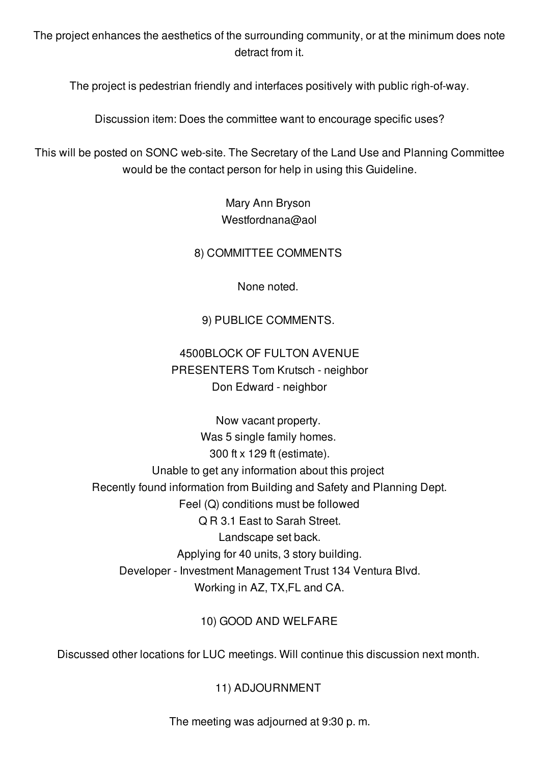The project enhances the aesthetics of the surrounding community, or at the minimum does note detract from it.

The project is pedestrian friendly and interfaces positively with public righ-of-way.

Discussion item: Does the committee want to encourage specific uses?

This will be posted on SONC web-site. The Secretary of the Land Use and Planning Committee would be the contact person for help in using this Guideline.

> Mary Ann Bryson Westfordnana@aol

8) COMMITTEE COMMENTS

None noted.

9) PUBLICE COMMENTS.

# 4500BLOCK OF FULTON AVENUE PRESENTERS Tom Krutsch - neighbor Don Edward - neighbor

Now vacant property. Was 5 single family homes. 300 ft x 129 ft (estimate). Unable to get any information about this project Recently found information from Building and Safety and Planning Dept. Feel (Q) conditions must be followed Q R 3.1 East to Sarah Street. Landscape set back. Applying for 40 units, 3 story building. Developer - Investment Management Trust 134 Ventura Blvd. Working in AZ, TX,FL and CA.

## 10) GOOD AND WELFARE

Discussed other locations for LUC meetings. Will continue this discussion next month.

## 11) ADJOURNMENT

The meeting was adjourned at 9:30 p. m.